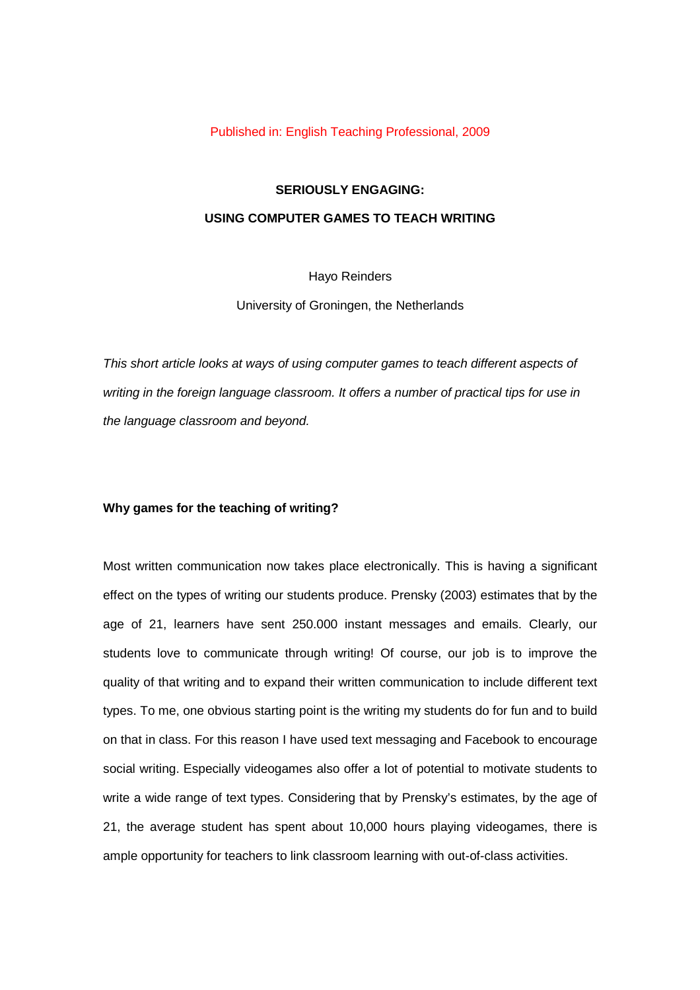#### Published in: English Teaching Professional, 2009

# **SERIOUSLY ENGAGING: USING COMPUTER GAMES TO TEACH WRITING**

## Hayo Reinders

University of Groningen, the Netherlands

*This short article looks at ways of using computer games to teach different aspects of writing in the foreign language classroom. It offers a number of practical tips for use in the language classroom and beyond.*

## **Why games for the teaching of writing?**

Most written communication now takes place electronically. This is having a significant effect on the types of writing our students produce. Prensky (2003) estimates that by the age of 21, learners have sent 250.000 instant messages and emails. Clearly, our students love to communicate through writing! Of course, our job is to improve the quality of that writing and to expand their written communication to include different text types. To me, one obvious starting point is the writing my students do for fun and to build on that in class. For this reason I have used text messaging and Facebook to encourage social writing. Especially videogames also offer a lot of potential to motivate students to write a wide range of text types. Considering that by Prensky's estimates, by the age of 21, the average student has spent about 10,000 hours playing videogames, there is ample opportunity for teachers to link classroom learning with out-of-class activities.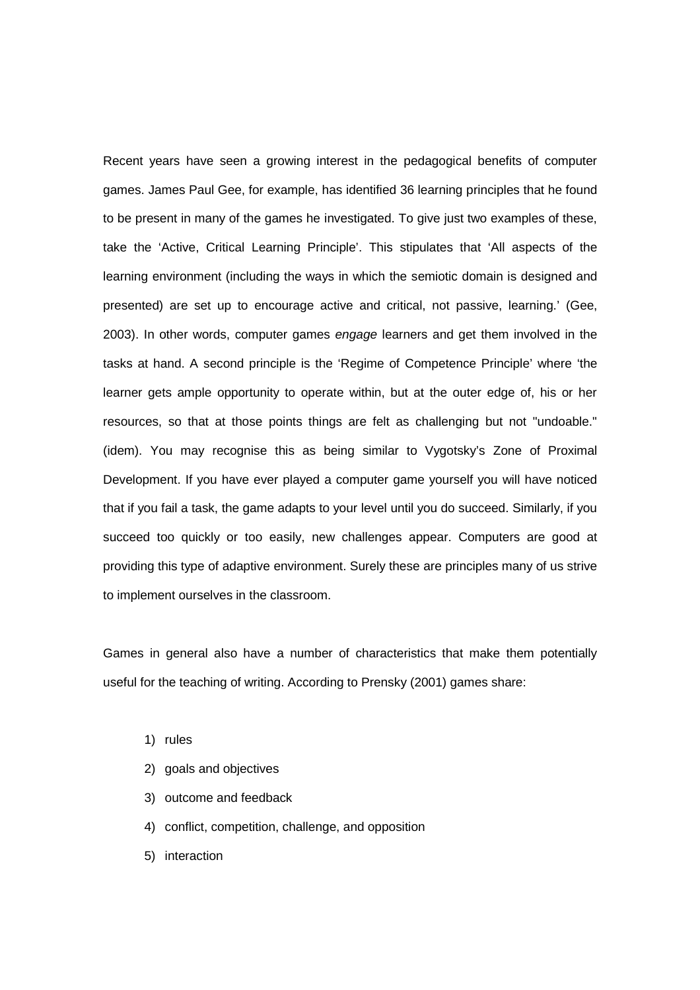Recent years have seen a growing interest in the pedagogical benefits of computer games. James Paul Gee, for example, has identified 36 learning principles that he found to be present in many of the games he investigated. To give just two examples of these, take the 'Active, Critical Learning Principle'. This stipulates that 'All aspects of the learning environment (including the ways in which the semiotic domain is designed and presented) are set up to encourage active and critical, not passive, learning.' (Gee, 2003). In other words, computer games *engage* learners and get them involved in the tasks at hand. A second principle is the 'Regime of Competence Principle' where 'the learner gets ample opportunity to operate within, but at the outer edge of, his or her resources, so that at those points things are felt as challenging but not "undoable." (idem). You may recognise this as being similar to Vygotsky's Zone of Proximal Development. If you have ever played a computer game yourself you will have noticed that if you fail a task, the game adapts to your level until you do succeed. Similarly, if you succeed too quickly or too easily, new challenges appear. Computers are good at providing this type of adaptive environment. Surely these are principles many of us strive to implement ourselves in the classroom.

Games in general also have a number of characteristics that make them potentially useful for the teaching of writing. According to Prensky (2001) games share:

- 1) rules
- 2) goals and objectives
- 3) outcome and feedback
- 4) conflict, competition, challenge, and opposition
- 5) interaction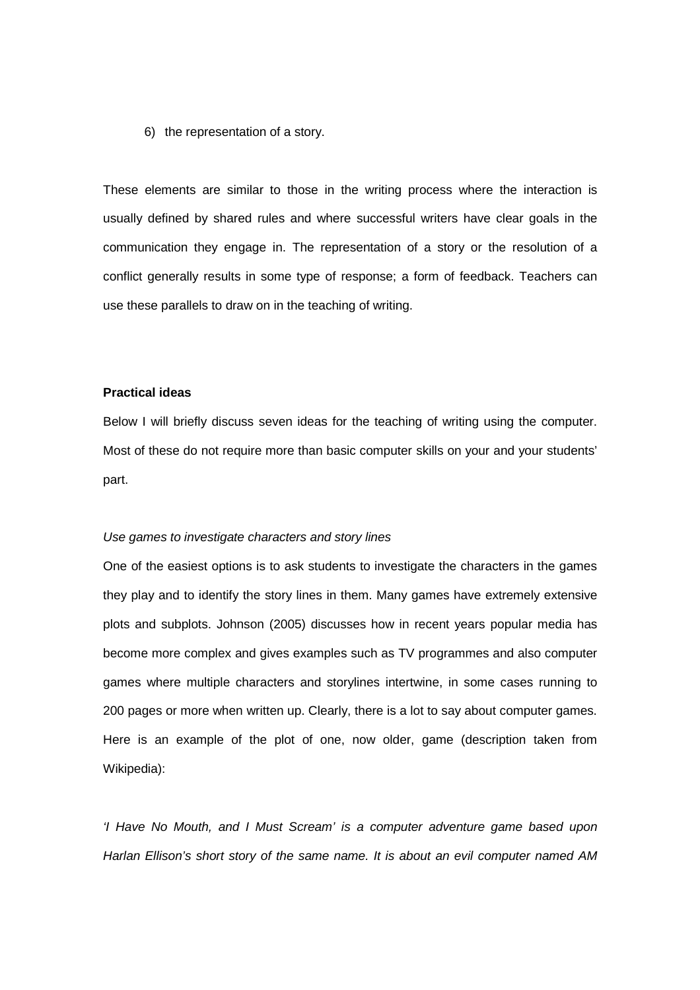#### 6) the representation of a story.

These elements are similar to those in the writing process where the interaction is usually defined by shared rules and where successful writers have clear goals in the communication they engage in. The representation of a story or the resolution of a conflict generally results in some type of response; a form of feedback. Teachers can use these parallels to draw on in the teaching of writing.

## **Practical ideas**

Below I will briefly discuss seven ideas for the teaching of writing using the computer. Most of these do not require more than basic computer skills on your and your students' part.

#### *Use games to investigate characters and story lines*

One of the easiest options is to ask students to investigate the characters in the games they play and to identify the story lines in them. Many games have extremely extensive plots and subplots. Johnson (2005) discusses how in recent years popular media has become more complex and gives examples such as TV programmes and also computer games where multiple characters and storylines intertwine, in some cases running to 200 pages or more when written up. Clearly, there is a lot to say about computer games. Here is an example of the plot of one, now older, game (description taken from Wikipedia):

*'I Have No Mouth, and I Must Scream' is a computer adventure game based upon Harlan Ellison's short story of the same name. It is about an evil computer named AM*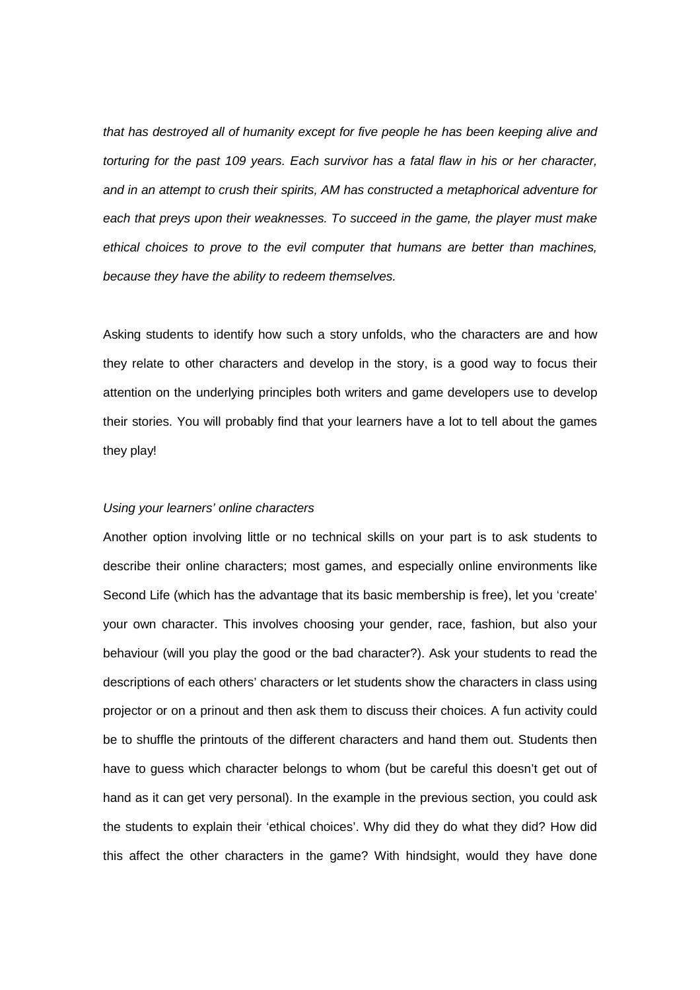*that has destroyed all of humanity except for five people he has been keeping alive and torturing for the past 109 years. Each survivor has a fatal flaw in his or her character, and in an attempt to crush their spirits, AM has constructed a metaphorical adventure for each that preys upon their weaknesses. To succeed in the game, the player must make ethical choices to prove to the evil computer that humans are better than machines, because they have the ability to redeem themselves.*

Asking students to identify how such a story unfolds, who the characters are and how they relate to other characters and develop in the story, is a good way to focus their attention on the underlying principles both writers and game developers use to develop their stories. You will probably find that your learners have a lot to tell about the games they play!

## *Using your learners' online characters*

Another option involving little or no technical skills on your part is to ask students to describe their online characters; most games, and especially online environments like Second Life (which has the advantage that its basic membership is free), let you 'create' your own character. This involves choosing your gender, race, fashion, but also your behaviour (will you play the good or the bad character?). Ask your students to read the descriptions of each others' characters or let students show the characters in class using projector or on a prinout and then ask them to discuss their choices. A fun activity could be to shuffle the printouts of the different characters and hand them out. Students then have to guess which character belongs to whom (but be careful this doesn't get out of hand as it can get very personal). In the example in the previous section, you could ask the students to explain their 'ethical choices'. Why did they do what they did? How did this affect the other characters in the game? With hindsight, would they have done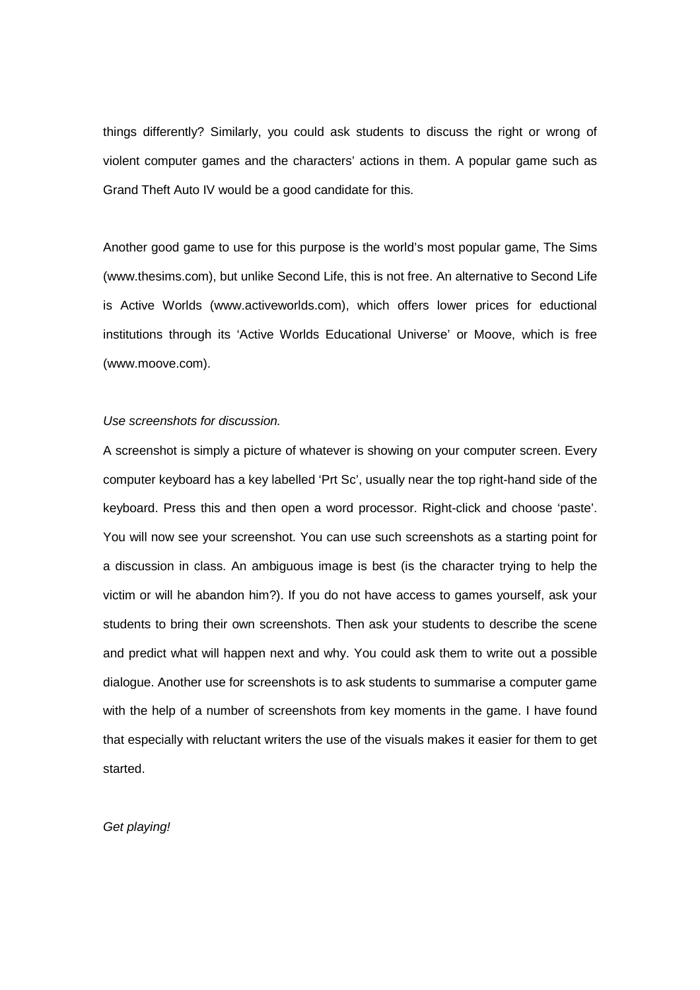things differently? Similarly, you could ask students to discuss the right or wrong of violent computer games and the characters€ actions in them. A popular game such as Grand Theft Auto IV would be a good candidate for this.

Another good game to use for this purpose is the world€s most popular game,The Sims [\(www.thesims.com\)](www.thesims.com), but unlike Second Life, this is not free. An alternative to Second Life is Active Worlds [\(www.activeworlds.com\)](www.activeworlds.com), which offers lower prices for eductional institutions through its •Active Worlds Educational Universe€or Moove, which is free [\(www.moove.com](www.moove.com)).

Use screenshots for discussion.

A screenshot is simply a picture of whatever is showing on your computer screen. Every computer keyboard has a key labelled •Prt Sc€, usuallynear the top right-hand side of the keyboard. Press this and then open a word processor. Right-click and choose •paste€. You will now see your screenshot. You can use such screenshots as a starting point for a discussion in class. An ambiguous image is best (is the character trying to help the victim or will he abandon him?). If you do not have access to games yourself, ask your students to bring their own screenshots. Then ask your students to describe the scene and predict what will happen next and why. You could ask them to write out a possible dialogue. Another use for screenshots is to ask students to summarise a computer game with the help of a number of screenshots from key moments in the game. I have found that especially with reluctant writers the use of the visuals makes it easier for them to get started.

Get playing!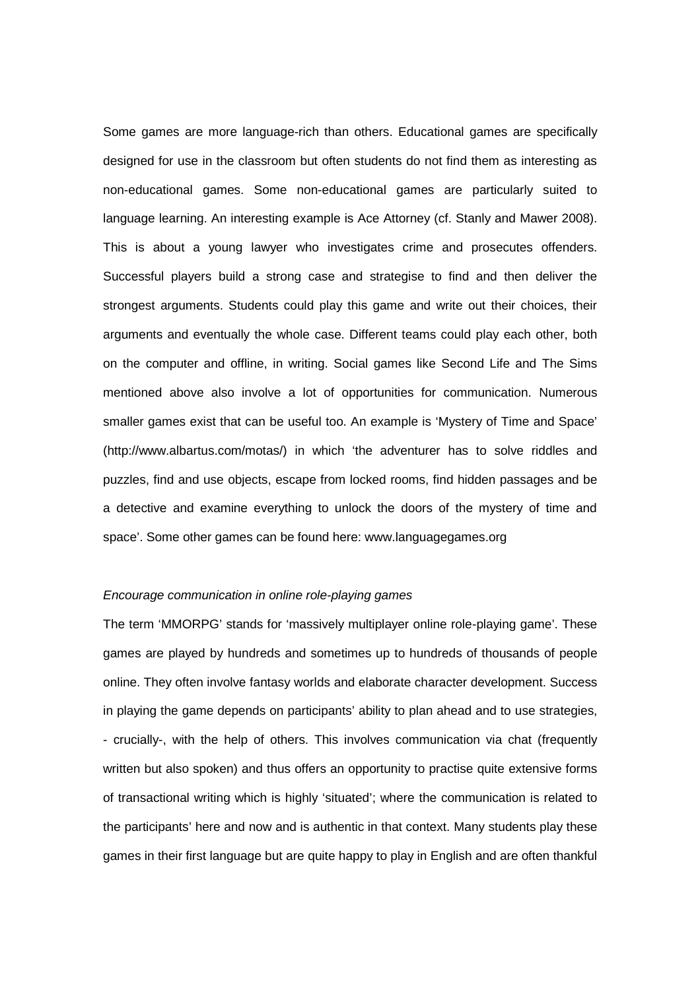Some games are more language-rich than others. Educational games are specifically designed for use in the classroom but often students do not find them as interesting as non-educational games. Some non-educational games are particularly suited to language learning. An interesting example is Ace Attorney (cf. Stanly and Mawer 2008). This is about a young lawyer who investigates crime and prosecutes offenders. Successful players build a strong case and strategise to find and then deliver the strongest arguments. Students could play this game and write out their choices, their arguments and eventually the whole case. Different teams could play each other, both on the computer and offline, in writing. Social games like Second Life and The Sims mentioned above also involve a lot of opportunities for communication. Numerous smaller games exist that can be useful too. An example is •Mystery of Time and Space€ [\(http://www.albartus.com/motas/\)](http://www.albartus.com/motas/) in which •the adventurer has to solve riddles and puzzles, find and use objects, escape from locked rooms, find hidden passages and be a detective and examine everything to unlock the doors of the mystery of time and space€Some other games can be found here: <www.languagegames.org>

## Encourage communication in online role-playing games

The term  $\mathsf{MMDRPG}\epsilon$  stands for •massively multiplayer online roleplaying game $\epsilon$ . These games are played by hundreds and sometimes up to hundreds of thousands of people online. They often involve fantasy worlds and elaborate character development. Success in playing the game depends on participants€ ability to plan ahead and touse strategies, - crucially-, with the help of others. This involves communication via chat (frequently written but also spoken) and thus offers an opportunity to practise quite extensive forms of transactional writing which is highly •situated€where the communication is related to the participants€ here and now and is authentic in that context.Many students play these games in their first language but are quite happy to play in English and are often thankful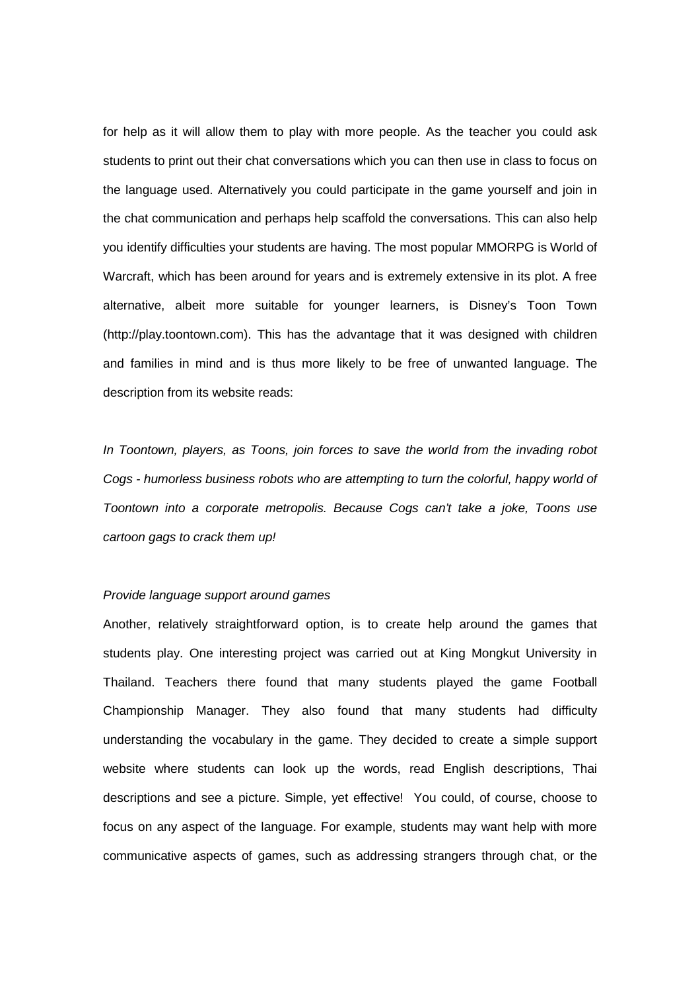for help as it will allow them to play with more people. As the teacher you could ask students to print out their chat conversations which you can then use in class to focus on the language used. Alternatively you could participate in the game yourself and join in the chat communication and perhaps help scaffold the conversations. This can also help you identify difficulties your students are having. The most popular MMORPG is World of Warcraft, which has been around for years and is extremely extensive in its plot. A free alternative, albeit more suitable for younger learners, is Disney€s Toon Town [\(http://play.toontown.com\)](http://play.toontown.com). This has the advantage that it was designed with children and families in mind and is thus more likely to be free of unwanted language. The description from its website reads:

In Toontown, players, as Toons, join forces to save the world from the invading robot Cogs - humorless business robots who are attempting to turn the colorful, happy world of Toontown into a corporate metropolis. Because Cogs can't take a joke, Toons use cartoon gags to crack them up!

## Provide language support around games

Another, relatively straightforward option, is to create help around the games that students play. One interesting project was carried out at King Mongkut University in Thailand. Teachers there found that many students played the game Football Championship Manager. They also found that many students had difficulty understanding the vocabulary in the game. They decided to create a simple support website where students can look up the words, read English descriptions, Thai descriptions and see a picture. Simple, yet effective! You could, of course, choose to focus on any aspect of the language. For example, students may want help with more communicative aspects of games, such as addressing strangers through chat, or the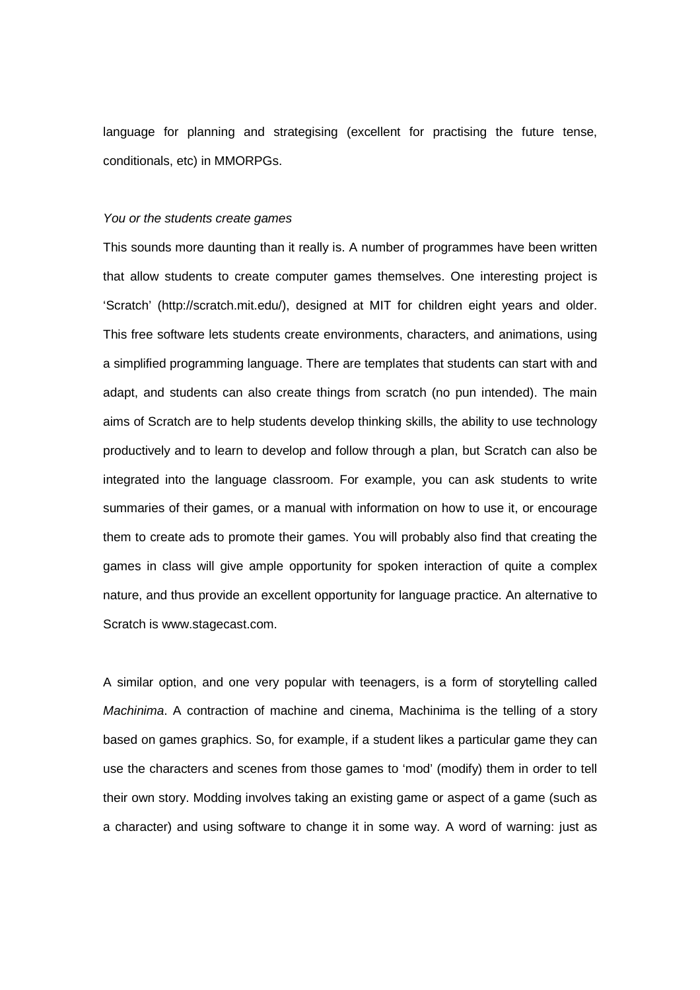language for planning and strategising (excellent for practising the future tense, conditionals, etc) in MMORPGs.

# You or the students create games

This sounds more daunting than it really is. A number of programmes have been written that allow students to create computer games themselves. One interesting project is •Scratch€(<http://scratch.mit.edu/>), designed at MIT for children eight years and older. This free software lets students create environments, characters, and animations, using a simplified programming language. There are templates that students can start with and adapt, and students can also create things from scratch (no pun intended). The main aims of Scratch are to help students develop thinking skills, the ability to use technology productively and to learn to develop and follow through a plan, but Scratch can also be integrated into the language classroom. For example, you can ask students to write summaries of their games, or a manual with information on how to use it, or encourage them to create ads to promote their games. You will probably also find that creating the games in class will give ample opportunity for spoken interaction of quite a complex nature, and thus provide an excellent opportunity for language practice. An alternative to Scratch is <www.stagecast.com>.

A similar option, and one very popular with teenagers, is a form of storytelling called Machinima. A contraction of machine and cinema, Machinima is the telling of a story based on games graphics. So, for example, if a student likes a particular game they can use the characters and scenes from those games to •mod€ (modify) them in order to tell their own story. Modding involves taking an existing game or aspect of a game (such as a character) and using software to change it in some way. A word of warning: just as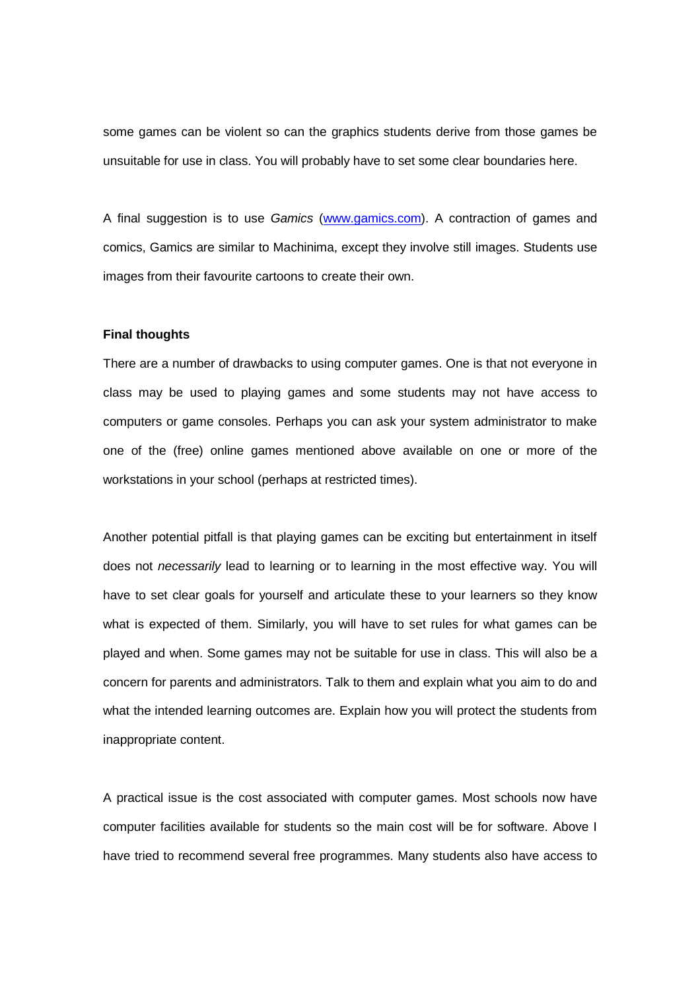some games can be violent so can the graphics students derive from those games be unsuitable for use in class. You will probably have to set some clear boundaries here.

A final suggestion is to use Gamics [\(www.gamics.com\)](www.gamics.com). A contraction of games and comics, Gamics are similar to Machinima, except they involve still images. Students use images from their favourite cartoons to create their own.

#### Final thoughts

There are a number of drawbacks to using computer games. One is that not everyone in class may be used to playing games and some students may not have access to computers or game consoles. Perhaps you can ask your system administrator to make one of the (free) online games mentioned above available on one or more of the workstations in your school (perhaps at restricted times).

Another potential pitfall is that playing games can be exciting but entertainment in itself does not necessarily lead to learning or to learning in the most effective way. You will have to set clear goals for yourself and articulate these to your learners so they know what is expected of them. Similarly, you will have to set rules for what games can be played and when. Some games may not be suitable for use in class. This will also be a concern for parents and administrators. Talk to them and explain what you aim to do and what the intended learning outcomes are. Explain how you will protect the students from inappropriate content.

A practical issue is the cost associated with computer games. Most schools now have computer facilities available for students so the main cost will be for software. Above I have tried to recommend several free programmes. Many students also have access to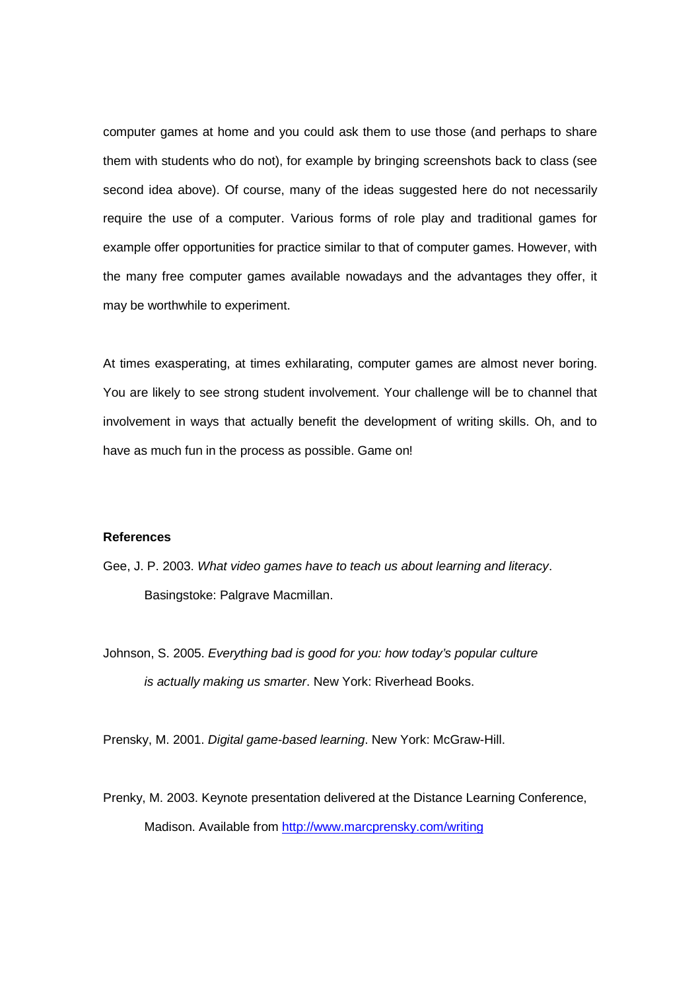computer games at home and you could ask them to use those (and perhaps to share them with students who do not), for example by bringing screenshots back to class (see second idea above). Of course, many of the ideas suggested here do not necessarily require the use of a computer. Various forms of role play and traditional games for example offer opportunities for practice similar to that of computer games. However, with the many free computer games available nowadays and the advantages they offer, it may be worthwhile to experiment.

At times exasperating, at times exhilarating, computer games are almost never boring. You are likely to see strong student involvement. Your challenge will be to channel that involvement in ways that actually benefit the development of writing skills. Oh, and to have as much fun in the process as possible. Game on!

# References

- Gee, J. P. 2003. What video games have to teach us about learning and literacy. Basingstoke: Palgrave Macmillan.
- Johnson, S. 2005. Everything bad is good for you: how today's popular culture is actually making us smarter. New York: Riverhead Books.

Prensky, M. 2001. Digital game-based learning. New York: McGraw-Hill.

Prenky, M. 2003. Keynote presentation delivered at the Distance Learning Conference, Madison. Available from <http://www.marcprensky.com/writing>